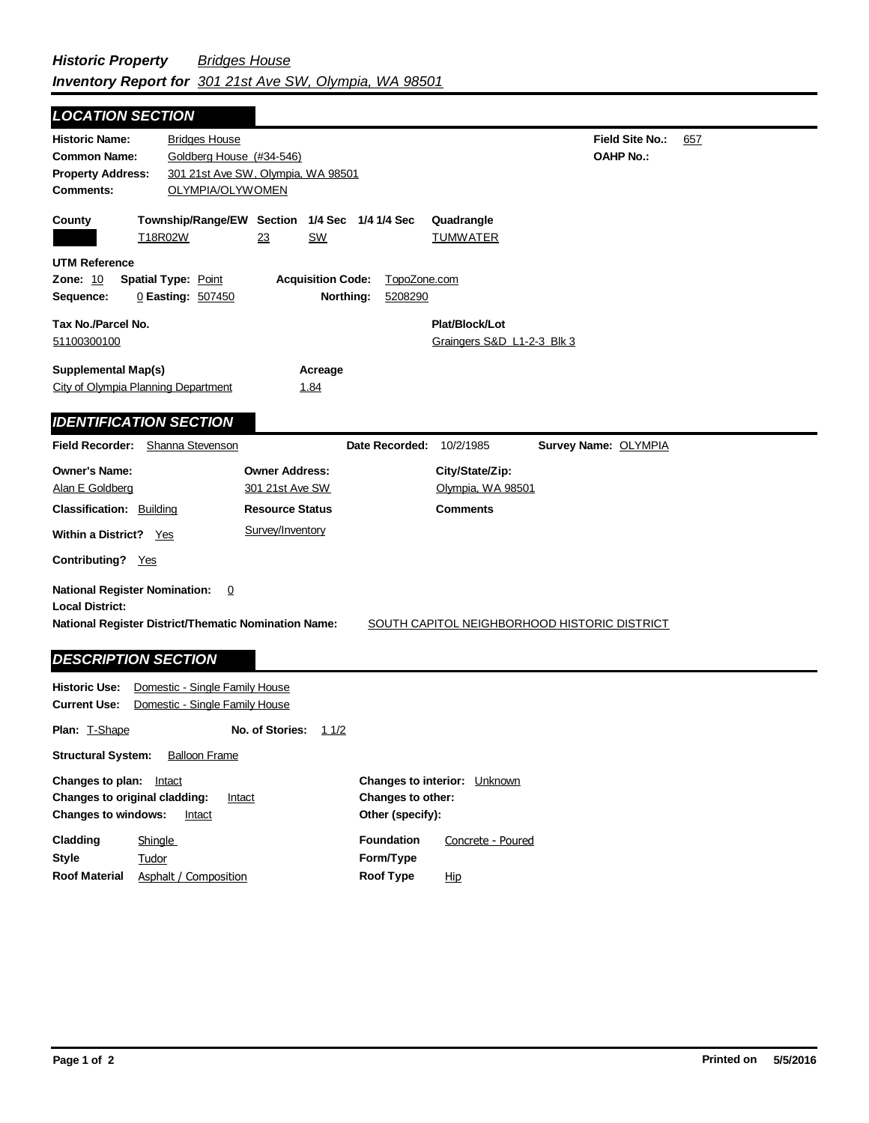## **Field Site No.:** 657 **OAHP No.: Historic Name:** Bridges House **Common Name:** Goldberg House (#34-546) **County Plat/Block/Lot** Graingers S&D L1-2-3 Blk 3 **Acreage** 1.84 **Supplemental Map(s)** City of Olympia Planning Department **Tax No./Parcel No.** 51100300100 **Property Address:** 301 21st Ave SW, Olympia, WA 98501 *LOCATION SECTION* **Comments:** OLYMPIA/OLYWOMEN **Quadrangle UTM Reference Township/Range/EW Section 1/4 Sec 1/4 1/4 Sec Owner Address:** 301 21st Ave SW **Field Recorder:** Shanna Stevenson **Owner's Name:** Alan E Goldberg **City/State/Zip:** Olympia, WA 98501 **National Register District/Thematic Nomination Name:** SOUTH CAPITOL NEIGHBORHOOD HISTORIC DISTRICT **Local District: Date Recorded:** 10/2/1985 **Classification:** Building Within a District? Yes **Contributing?** Yes **Comments National Register Nomination:** 0 **Historic Use:** Domestic - Single Family House **Current Use:** Domestic - Single Family House **Resource Status Survey Name:** OLYMPIA *IDENTIFICATION SECTION DESCRIPTION SECTION* T18R02W 23 SW TUMWATER **Zone:** 10 **Spatial Type:** Point **Acquisition Code:** TopoZone.com **Sequence:** 0 **Easting:** 507450 **Northing:** 5208290 Survey/Inventory

**Plan:** T-Shape **Other (specify): Style Structural System:** Balloon Frame **No. of Stories:** 11/2 **Changes to plan:** Intact **Changes to original cladding:** Intact **Changes to windows:** Intact **Changes to interior:** Unknown **Changes to other: Cladding Roof Material Foundation Form/Type Roof Type** Tudor **Shingle** Asphalt / Composition Concrete - Poured Hip